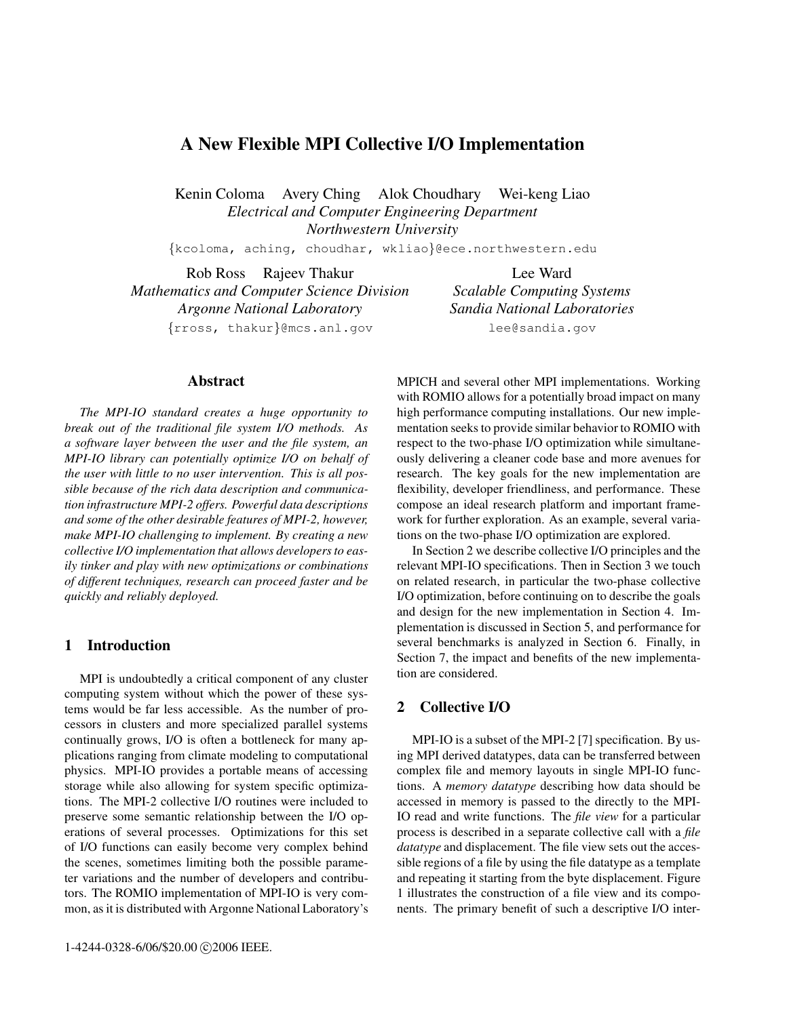# **A New Flexible MPI Collective I/O Implementation**

Kenin Coloma Avery Ching Alok Choudhary Wei-keng Liao *Electrical and Computer Engineering Department Northwestern University*

{kcoloma, aching, choudhar, wkliao}@ece.northwestern.edu

Rob Ross Rajeev Thakur *Mathematics and Computer Science Division Argonne National Laboratory* {rross, thakur}@mcs.anl.gov

**Abstract**

*The MPI-IO standard creates a huge opportunity to break out of the traditional file system I/O methods. As a software layer between the user and the file system, an MPI-IO library can potentially optimize I/O on behalf of the user with little to no user intervention. This is all possible because of the rich data description and communication infrastructure MPI-2 offers. Powerful data descriptions and some of the other desirable features of MPI-2, however, make MPI-IO challenging to implement. By creating a new collective I/O implementation that allows developers to easily tinker and play with new optimizations or combinations of different techniques, research can proceed faster and be quickly and reliably deployed.*

#### **1 Introduction**

MPI is undoubtedly a critical component of any cluster computing system without which the power of these systems would be far less accessible. As the number of processors in clusters and more specialized parallel systems continually grows, I/O is often a bottleneck for many applications ranging from climate modeling to computational physics. MPI-IO provides a portable means of accessing storage while also allowing for system specific optimizations. The MPI-2 collective I/O routines were included to preserve some semantic relationship between the I/O operations of several processes. Optimizations for this set of I/O functions can easily become very complex behind the scenes, sometimes limiting both the possible parameter variations and the number of developers and contributors. The ROMIO implementation of MPI-IO is very common, as it is distributed with Argonne National Laboratory's

Lee Ward *Scalable Computing Systems Sandia National Laboratories* lee@sandia.gov

MPICH and several other MPI implementations. Working with ROMIO allows for a potentially broad impact on many high performance computing installations. Our new implementation seeks to provide similar behavior to ROMIO with respect to the two-phase I/O optimization while simultaneously delivering a cleaner code base and more avenues for research. The key goals for the new implementation are flexibility, developer friendliness, and performance. These compose an ideal research platform and important framework for further exploration. As an example, several variations on the two-phase I/O optimization are explored.

In Section 2 we describe collective I/O principles and the relevant MPI-IO specifications. Then in Section 3 we touch on related research, in particular the two-phase collective I/O optimization, before continuing on to describe the goals and design for the new implementation in Section 4. Implementation is discussed in Section 5, and performance for several benchmarks is analyzed in Section 6. Finally, in Section 7, the impact and benefits of the new implementation are considered.

## **2 Collective I/O**

MPI-IO is a subset of the MPI-2 [7] specification. By using MPI derived datatypes, data can be transferred between complex file and memory layouts in single MPI-IO functions. A *memory datatype* describing how data should be accessed in memory is passed to the directly to the MPI-IO read and write functions. The *file view* for a particular process is described in a separate collective call with a *file datatype* and displacement. The file view sets out the accessible regions of a file by using the file datatype as a template and repeating it starting from the byte displacement. Figure 1 illustrates the construction of a file view and its components. The primary benefit of such a descriptive I/O inter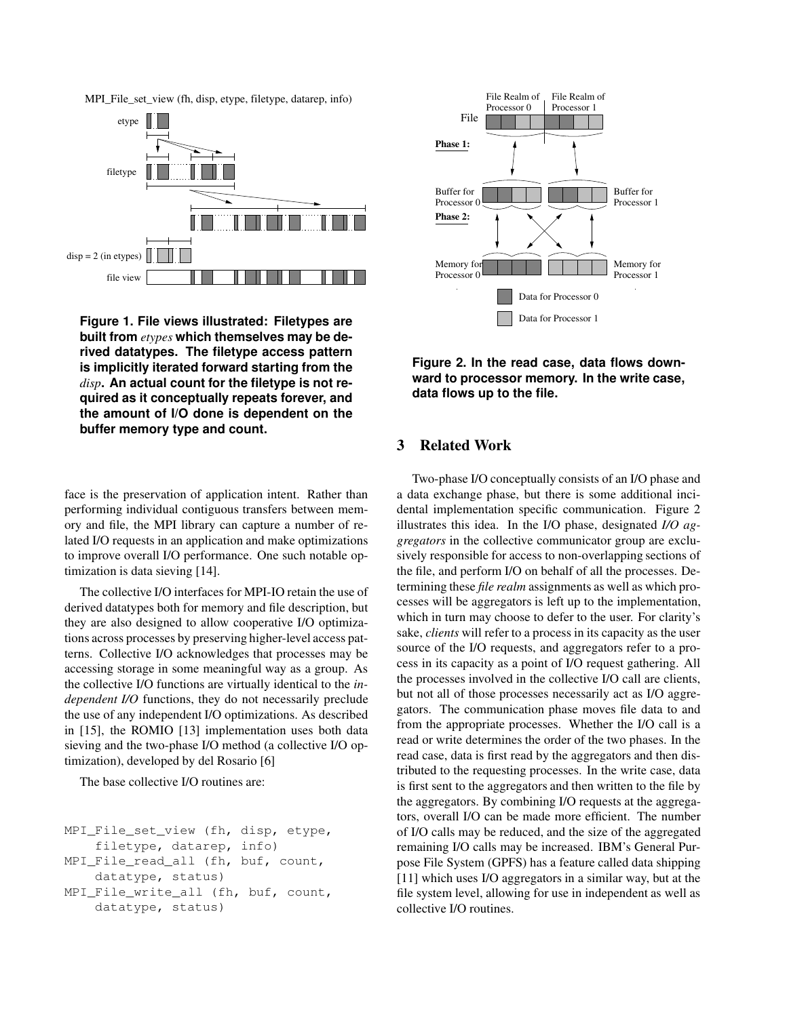MPI\_File\_set\_view (fh, disp, etype, filetype, datarep, info)



**Figure 1. File views illustrated: Filetypes are built from** *etypes* **which themselves may be derived datatypes. The filetype access pattern is implicitly iterated forward starting from the** *disp***. An actual count for the filetype is not required as it conceptually repeats forever, and the amount of I/O done is dependent on the buffer memory type and count.**

face is the preservation of application intent. Rather than performing individual contiguous transfers between memory and file, the MPI library can capture a number of related I/O requests in an application and make optimizations to improve overall I/O performance. One such notable optimization is data sieving [14].

The collective I/O interfaces for MPI-IO retain the use of derived datatypes both for memory and file description, but they are also designed to allow cooperative I/O optimizations across processes by preserving higher-level access patterns. Collective I/O acknowledges that processes may be accessing storage in some meaningful way as a group. As the collective I/O functions are virtually identical to the *independent I/O* functions, they do not necessarily preclude the use of any independent I/O optimizations. As described in [15], the ROMIO [13] implementation uses both data sieving and the two-phase I/O method (a collective I/O optimization), developed by del Rosario [6]

The base collective I/O routines are:

```
MPI_File_set_view (fh, disp, etype,
    filetype, datarep, info)
MPI_File_read_all (fh, buf, count,
    datatype, status)
MPI File write all (fh, buf, count,
    datatype, status)
```


**Figure 2. In the read case, data flows downward to processor memory. In the write case, data flows up to the file.**

## **3 Related Work**

Two-phase I/O conceptually consists of an I/O phase and a data exchange phase, but there is some additional incidental implementation specific communication. Figure 2 illustrates this idea. In the I/O phase, designated *I/O aggregators* in the collective communicator group are exclusively responsible for access to non-overlapping sections of the file, and perform I/O on behalf of all the processes. Determining these *file realm* assignments as well as which processes will be aggregators is left up to the implementation, which in turn may choose to defer to the user. For clarity's sake, *clients* will refer to a process in its capacity as the user source of the I/O requests, and aggregators refer to a process in its capacity as a point of I/O request gathering. All the processes involved in the collective I/O call are clients, but not all of those processes necessarily act as I/O aggregators. The communication phase moves file data to and from the appropriate processes. Whether the I/O call is a read or write determines the order of the two phases. In the read case, data is first read by the aggregators and then distributed to the requesting processes. In the write case, data is first sent to the aggregators and then written to the file by the aggregators. By combining I/O requests at the aggregators, overall I/O can be made more efficient. The number of I/O calls may be reduced, and the size of the aggregated remaining I/O calls may be increased. IBM's General Purpose File System (GPFS) has a feature called data shipping [11] which uses I/O aggregators in a similar way, but at the file system level, allowing for use in independent as well as collective I/O routines.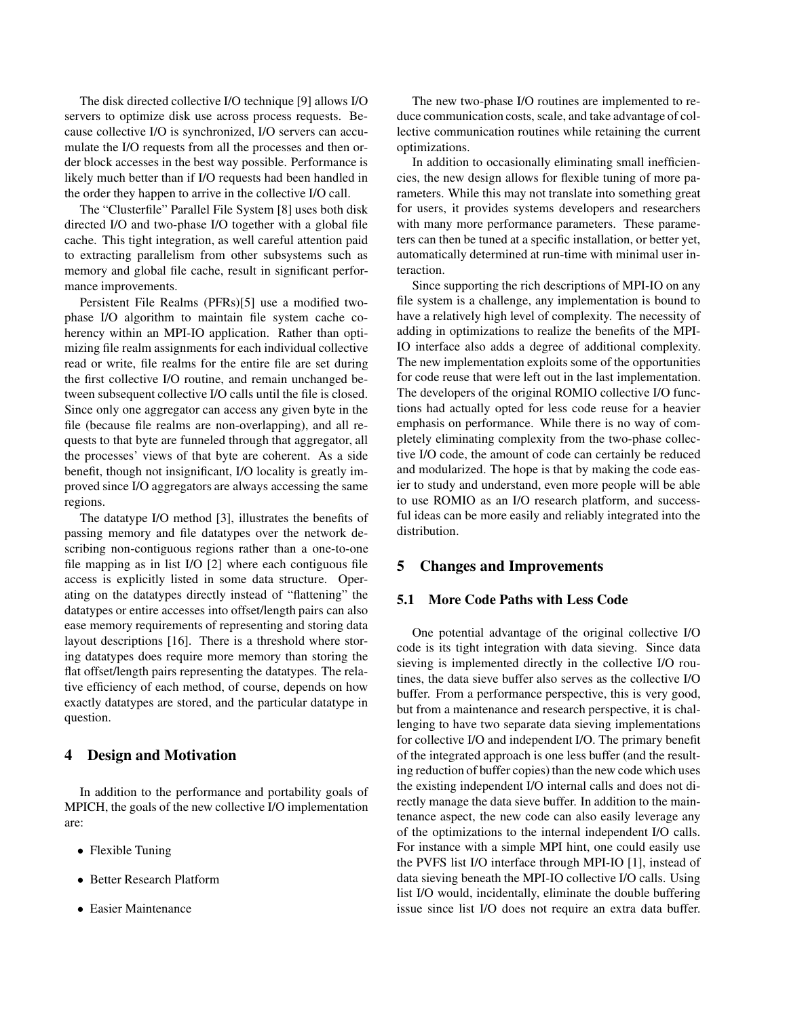The disk directed collective I/O technique [9] allows I/O servers to optimize disk use across process requests. Because collective I/O is synchronized, I/O servers can accumulate the I/O requests from all the processes and then order block accesses in the best way possible. Performance is likely much better than if I/O requests had been handled in the order they happen to arrive in the collective I/O call.

The "Clusterfile" Parallel File System [8] uses both disk directed I/O and two-phase I/O together with a global file cache. This tight integration, as well careful attention paid to extracting parallelism from other subsystems such as memory and global file cache, result in significant performance improvements.

Persistent File Realms (PFRs)[5] use a modified twophase I/O algorithm to maintain file system cache coherency within an MPI-IO application. Rather than optimizing file realm assignments for each individual collective read or write, file realms for the entire file are set during the first collective I/O routine, and remain unchanged between subsequent collective I/O calls until the file is closed. Since only one aggregator can access any given byte in the file (because file realms are non-overlapping), and all requests to that byte are funneled through that aggregator, all the processes' views of that byte are coherent. As a side benefit, though not insignificant, I/O locality is greatly improved since I/O aggregators are always accessing the same regions.

The datatype I/O method [3], illustrates the benefits of passing memory and file datatypes over the network describing non-contiguous regions rather than a one-to-one file mapping as in list I/O [2] where each contiguous file access is explicitly listed in some data structure. Operating on the datatypes directly instead of "flattening" the datatypes or entire accesses into offset/length pairs can also ease memory requirements of representing and storing data layout descriptions [16]. There is a threshold where storing datatypes does require more memory than storing the flat offset/length pairs representing the datatypes. The relative efficiency of each method, of course, depends on how exactly datatypes are stored, and the particular datatype in question.

### **4 Design and Motivation**

In addition to the performance and portability goals of MPICH, the goals of the new collective I/O implementation are:

- Flexible Tuning
- Better Research Platform
- Easier Maintenance

The new two-phase I/O routines are implemented to reduce communication costs, scale, and take advantage of collective communication routines while retaining the current optimizations.

In addition to occasionally eliminating small inefficiencies, the new design allows for flexible tuning of more parameters. While this may not translate into something great for users, it provides systems developers and researchers with many more performance parameters. These parameters can then be tuned at a specific installation, or better yet, automatically determined at run-time with minimal user interaction.

Since supporting the rich descriptions of MPI-IO on any file system is a challenge, any implementation is bound to have a relatively high level of complexity. The necessity of adding in optimizations to realize the benefits of the MPI-IO interface also adds a degree of additional complexity. The new implementation exploits some of the opportunities for code reuse that were left out in the last implementation. The developers of the original ROMIO collective I/O functions had actually opted for less code reuse for a heavier emphasis on performance. While there is no way of completely eliminating complexity from the two-phase collective I/O code, the amount of code can certainly be reduced and modularized. The hope is that by making the code easier to study and understand, even more people will be able to use ROMIO as an I/O research platform, and successful ideas can be more easily and reliably integrated into the distribution.

#### **5 Changes and Improvements**

## **5.1 More Code Paths with Less Code**

One potential advantage of the original collective I/O code is its tight integration with data sieving. Since data sieving is implemented directly in the collective I/O routines, the data sieve buffer also serves as the collective I/O buffer. From a performance perspective, this is very good, but from a maintenance and research perspective, it is challenging to have two separate data sieving implementations for collective I/O and independent I/O. The primary benefit of the integrated approach is one less buffer (and the resulting reduction of buffer copies) than the new code which uses the existing independent I/O internal calls and does not directly manage the data sieve buffer. In addition to the maintenance aspect, the new code can also easily leverage any of the optimizations to the internal independent I/O calls. For instance with a simple MPI hint, one could easily use the PVFS list I/O interface through MPI-IO [1], instead of data sieving beneath the MPI-IO collective I/O calls. Using list I/O would, incidentally, eliminate the double buffering issue since list I/O does not require an extra data buffer.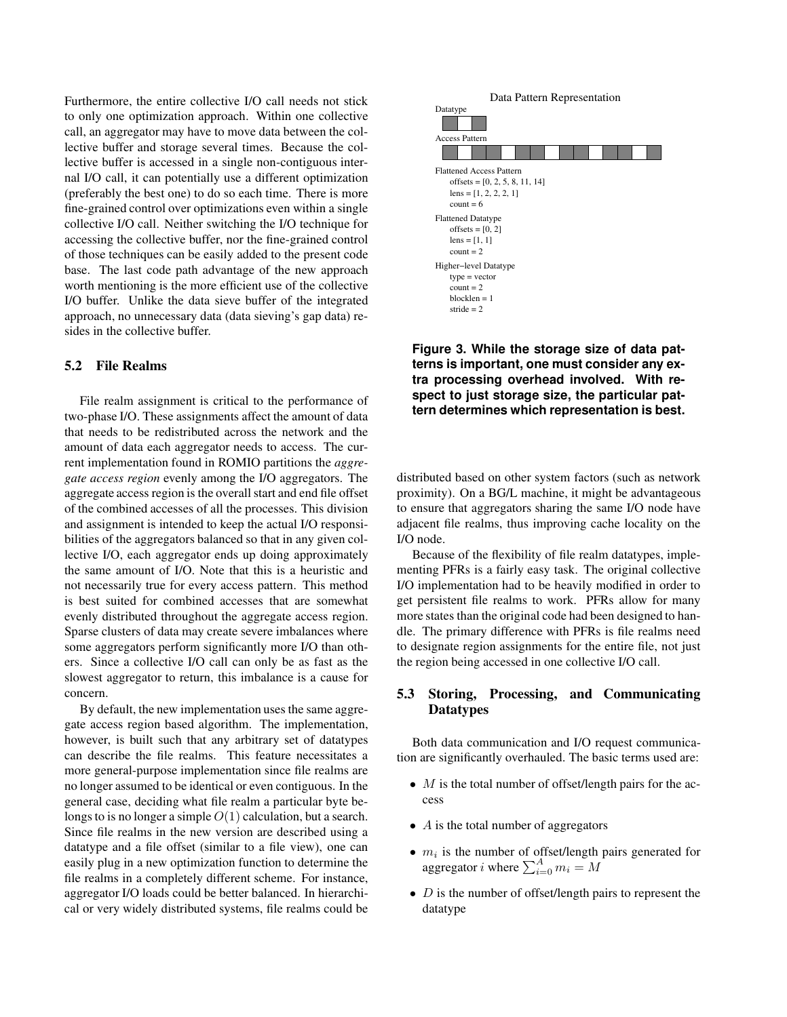Furthermore, the entire collective I/O call needs not stick to only one optimization approach. Within one collective call, an aggregator may have to move data between the collective buffer and storage several times. Because the collective buffer is accessed in a single non-contiguous internal I/O call, it can potentially use a different optimization (preferably the best one) to do so each time. There is more fine-grained control over optimizations even within a single collective I/O call. Neither switching the I/O technique for accessing the collective buffer, nor the fine-grained control of those techniques can be easily added to the present code base. The last code path advantage of the new approach worth mentioning is the more efficient use of the collective I/O buffer. Unlike the data sieve buffer of the integrated approach, no unnecessary data (data sieving's gap data) resides in the collective buffer.

#### **5.2 File Realms**

File realm assignment is critical to the performance of two-phase I/O. These assignments affect the amount of data that needs to be redistributed across the network and the amount of data each aggregator needs to access. The current implementation found in ROMIO partitions the *aggregate access region* evenly among the I/O aggregators. The aggregate access region is the overall start and end file offset of the combined accesses of all the processes. This division and assignment is intended to keep the actual I/O responsibilities of the aggregators balanced so that in any given collective I/O, each aggregator ends up doing approximately the same amount of I/O. Note that this is a heuristic and not necessarily true for every access pattern. This method is best suited for combined accesses that are somewhat evenly distributed throughout the aggregate access region. Sparse clusters of data may create severe imbalances where some aggregators perform significantly more I/O than others. Since a collective I/O call can only be as fast as the slowest aggregator to return, this imbalance is a cause for concern.

By default, the new implementation uses the same aggregate access region based algorithm. The implementation, however, is built such that any arbitrary set of datatypes can describe the file realms. This feature necessitates a more general-purpose implementation since file realms are no longer assumed to be identical or even contiguous. In the general case, deciding what file realm a particular byte belongs to is no longer a simple  $O(1)$  calculation, but a search. Since file realms in the new version are described using a datatype and a file offset (similar to a file view), one can easily plug in a new optimization function to determine the file realms in a completely different scheme. For instance, aggregator I/O loads could be better balanced. In hierarchical or very widely distributed systems, file realms could be



**Figure 3. While the storage size of data patterns is important, one must consider any extra processing overhead involved. With respect to just storage size, the particular pattern determines which representation is best.**

distributed based on other system factors (such as network proximity). On a BG/L machine, it might be advantageous to ensure that aggregators sharing the same I/O node have adjacent file realms, thus improving cache locality on the I/O node.

Because of the flexibility of file realm datatypes, implementing PFRs is a fairly easy task. The original collective I/O implementation had to be heavily modified in order to get persistent file realms to work. PFRs allow for many more states than the original code had been designed to handle. The primary difference with PFRs is file realms need to designate region assignments for the entire file, not just the region being accessed in one collective I/O call.

### **5.3 Storing, Processing, and Communicating Datatypes**

Both data communication and I/O request communication are significantly overhauled. The basic terms used are:

- $M$  is the total number of offset/length pairs for the access
- $\bullet$  A is the total number of aggregators
- $m_i$  is the number of offset/length pairs generated for aggregator *i* where  $\sum_{i=0}^{A} m_i = M$
- $D$  is the number of offset/length pairs to represent the datatype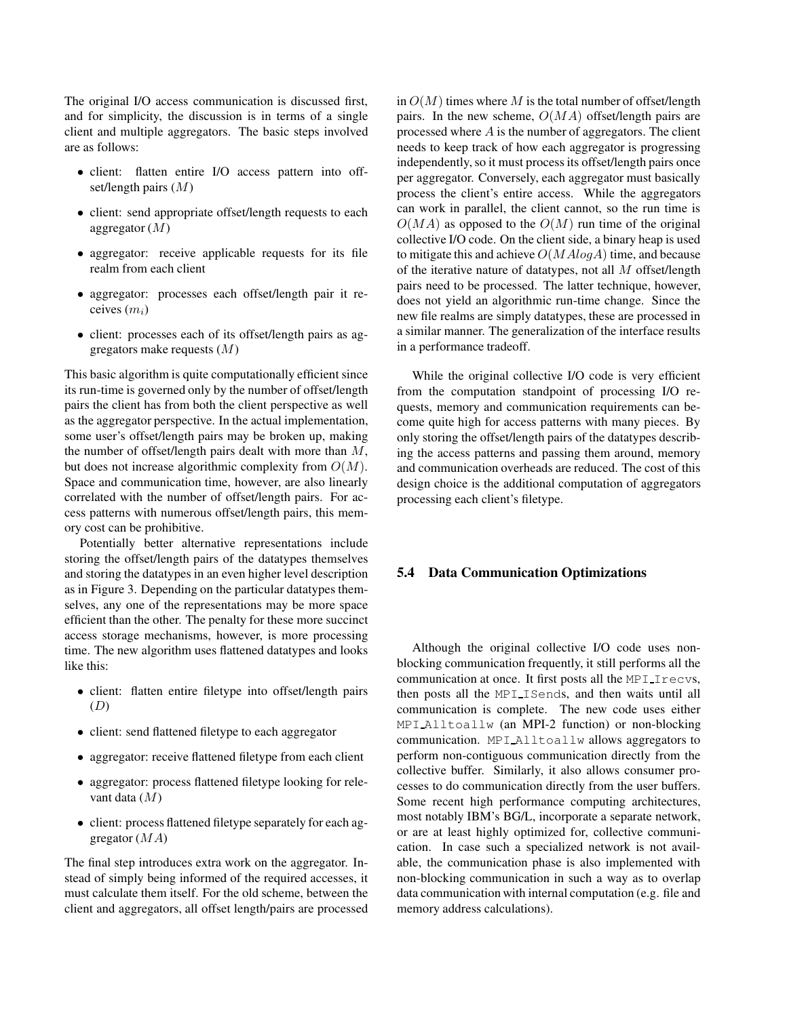The original I/O access communication is discussed first, and for simplicity, the discussion is in terms of a single client and multiple aggregators. The basic steps involved are as follows:

- client: flatten entire I/O access pattern into offset/length pairs  $(M)$
- client: send appropriate offset/length requests to each aggregator  $(M)$
- aggregator: receive applicable requests for its file realm from each client
- aggregator: processes each offset/length pair it receives  $(m_i)$
- client: processes each of its offset/length pairs as aggregators make requests  $(M)$

This basic algorithm is quite computationally efficient since its run-time is governed only by the number of offset/length pairs the client has from both the client perspective as well as the aggregator perspective. In the actual implementation, some user's offset/length pairs may be broken up, making the number of offset/length pairs dealt with more than  $M$ , but does not increase algorithmic complexity from  $O(M)$ . Space and communication time, however, are also linearly correlated with the number of offset/length pairs. For access patterns with numerous offset/length pairs, this memory cost can be prohibitive.

Potentially better alternative representations include storing the offset/length pairs of the datatypes themselves and storing the datatypes in an even higher level description as in Figure 3. Depending on the particular datatypes themselves, any one of the representations may be more space efficient than the other. The penalty for these more succinct access storage mechanisms, however, is more processing time. The new algorithm uses flattened datatypes and looks like this:

- client: flatten entire filetype into offset/length pairs  $(D)$
- client: send flattened filetype to each aggregator
- aggregator: receive flattened filetype from each client
- aggregator: process flattened filetype looking for relevant data (M)
- client: process flattened filetype separately for each aggregator  $(MA)$

The final step introduces extra work on the aggregator. Instead of simply being informed of the required accesses, it must calculate them itself. For the old scheme, between the client and aggregators, all offset length/pairs are processed in  $O(M)$  times where M is the total number of offset/length pairs. In the new scheme,  $O(MA)$  offset/length pairs are processed where  $A$  is the number of aggregators. The client needs to keep track of how each aggregator is progressing independently, so it must process its offset/length pairs once per aggregator. Conversely, each aggregator must basically process the client's entire access. While the aggregators can work in parallel, the client cannot, so the run time is  $O(MA)$  as opposed to the  $O(M)$  run time of the original collective I/O code. On the client side, a binary heap is used to mitigate this and achieve  $O(MA log A)$  time, and because of the iterative nature of datatypes, not all  $M$  offset/length pairs need to be processed. The latter technique, however, does not yield an algorithmic run-time change. Since the new file realms are simply datatypes, these are processed in a similar manner. The generalization of the interface results in a performance tradeoff.

While the original collective I/O code is very efficient from the computation standpoint of processing I/O requests, memory and communication requirements can become quite high for access patterns with many pieces. By only storing the offset/length pairs of the datatypes describing the access patterns and passing them around, memory and communication overheads are reduced. The cost of this design choice is the additional computation of aggregators processing each client's filetype.

#### **5.4 Data Communication Optimizations**

Although the original collective I/O code uses nonblocking communication frequently, it still performs all the communication at once. It first posts all the MPI Irecvs, then posts all the MPI ISends, and then waits until all communication is complete. The new code uses either MPI Alltoallw (an MPI-2 function) or non-blocking communication. MPI Alltoallw allows aggregators to perform non-contiguous communication directly from the collective buffer. Similarly, it also allows consumer processes to do communication directly from the user buffers. Some recent high performance computing architectures, most notably IBM's BG/L, incorporate a separate network, or are at least highly optimized for, collective communication. In case such a specialized network is not available, the communication phase is also implemented with non-blocking communication in such a way as to overlap data communication with internal computation (e.g. file and memory address calculations).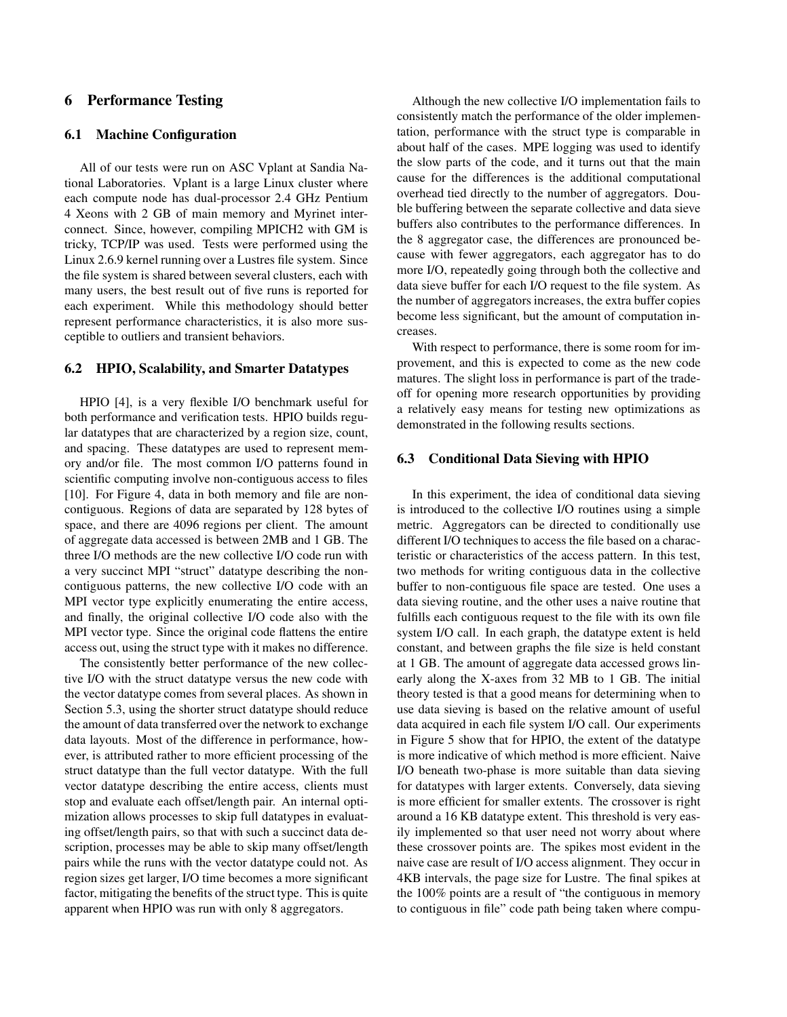## **6 Performance Testing**

### **6.1 Machine Configuration**

All of our tests were run on ASC Vplant at Sandia National Laboratories. Vplant is a large Linux cluster where each compute node has dual-processor 2.4 GHz Pentium 4 Xeons with 2 GB of main memory and Myrinet interconnect. Since, however, compiling MPICH2 with GM is tricky, TCP/IP was used. Tests were performed using the Linux 2.6.9 kernel running over a Lustres file system. Since the file system is shared between several clusters, each with many users, the best result out of five runs is reported for each experiment. While this methodology should better represent performance characteristics, it is also more susceptible to outliers and transient behaviors.

#### **6.2 HPIO, Scalability, and Smarter Datatypes**

HPIO [4], is a very flexible I/O benchmark useful for both performance and verification tests. HPIO builds regular datatypes that are characterized by a region size, count, and spacing. These datatypes are used to represent memory and/or file. The most common I/O patterns found in scientific computing involve non-contiguous access to files [10]. For Figure 4, data in both memory and file are noncontiguous. Regions of data are separated by 128 bytes of space, and there are 4096 regions per client. The amount of aggregate data accessed is between 2MB and 1 GB. The three I/O methods are the new collective I/O code run with a very succinct MPI "struct" datatype describing the noncontiguous patterns, the new collective I/O code with an MPI vector type explicitly enumerating the entire access, and finally, the original collective I/O code also with the MPI vector type. Since the original code flattens the entire access out, using the struct type with it makes no difference.

The consistently better performance of the new collective I/O with the struct datatype versus the new code with the vector datatype comes from several places. As shown in Section 5.3, using the shorter struct datatype should reduce the amount of data transferred over the network to exchange data layouts. Most of the difference in performance, however, is attributed rather to more efficient processing of the struct datatype than the full vector datatype. With the full vector datatype describing the entire access, clients must stop and evaluate each offset/length pair. An internal optimization allows processes to skip full datatypes in evaluating offset/length pairs, so that with such a succinct data description, processes may be able to skip many offset/length pairs while the runs with the vector datatype could not. As region sizes get larger, I/O time becomes a more significant factor, mitigating the benefits of the struct type. This is quite apparent when HPIO was run with only 8 aggregators.

Although the new collective I/O implementation fails to consistently match the performance of the older implementation, performance with the struct type is comparable in about half of the cases. MPE logging was used to identify the slow parts of the code, and it turns out that the main cause for the differences is the additional computational overhead tied directly to the number of aggregators. Double buffering between the separate collective and data sieve buffers also contributes to the performance differences. In the 8 aggregator case, the differences are pronounced because with fewer aggregators, each aggregator has to do more I/O, repeatedly going through both the collective and data sieve buffer for each I/O request to the file system. As the number of aggregators increases, the extra buffer copies become less significant, but the amount of computation increases.

With respect to performance, there is some room for improvement, and this is expected to come as the new code matures. The slight loss in performance is part of the tradeoff for opening more research opportunities by providing a relatively easy means for testing new optimizations as demonstrated in the following results sections.

### **6.3 Conditional Data Sieving with HPIO**

In this experiment, the idea of conditional data sieving is introduced to the collective I/O routines using a simple metric. Aggregators can be directed to conditionally use different I/O techniques to access the file based on a characteristic or characteristics of the access pattern. In this test, two methods for writing contiguous data in the collective buffer to non-contiguous file space are tested. One uses a data sieving routine, and the other uses a naive routine that fulfills each contiguous request to the file with its own file system I/O call. In each graph, the datatype extent is held constant, and between graphs the file size is held constant at 1 GB. The amount of aggregate data accessed grows linearly along the X-axes from 32 MB to 1 GB. The initial theory tested is that a good means for determining when to use data sieving is based on the relative amount of useful data acquired in each file system I/O call. Our experiments in Figure 5 show that for HPIO, the extent of the datatype is more indicative of which method is more efficient. Naive I/O beneath two-phase is more suitable than data sieving for datatypes with larger extents. Conversely, data sieving is more efficient for smaller extents. The crossover is right around a 16 KB datatype extent. This threshold is very easily implemented so that user need not worry about where these crossover points are. The spikes most evident in the naive case are result of I/O access alignment. They occur in 4KB intervals, the page size for Lustre. The final spikes at the 100% points are a result of "the contiguous in memory to contiguous in file" code path being taken where compu-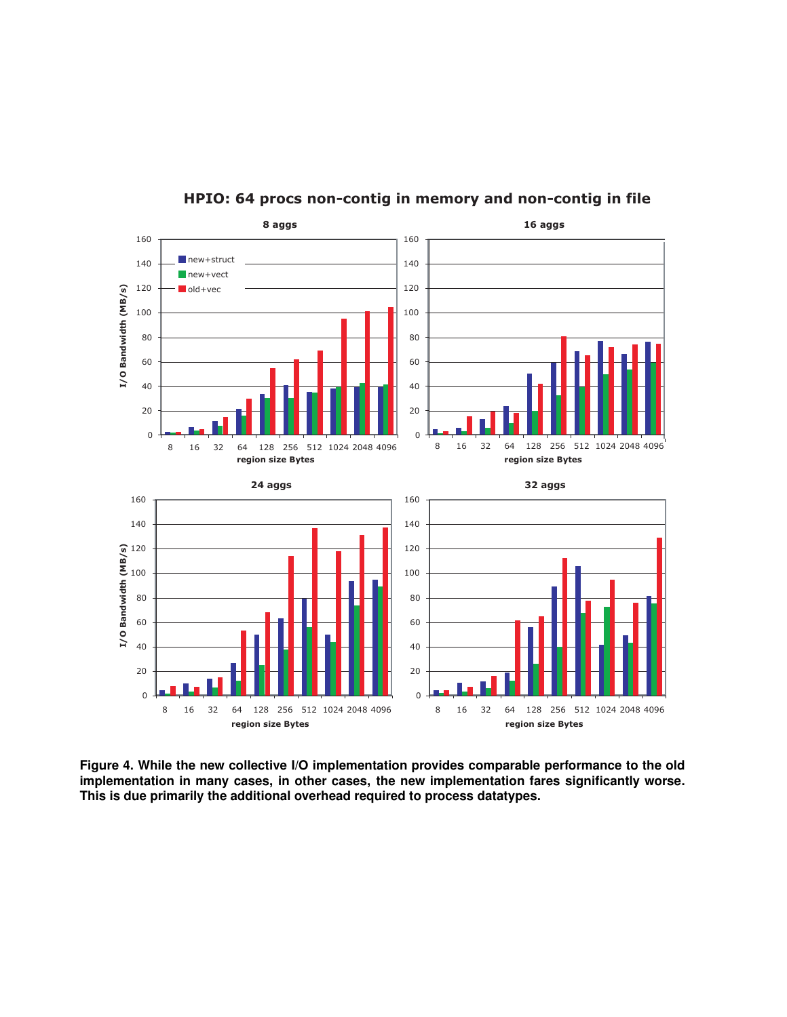

**HPIO: 64 procs non-contig in memory and non-contig in file**

**Figure 4. While the new collective I/O implementation provides comparable performance to the old implementation in many cases, in other cases, the new implementation fares significantly worse. This is due primarily the additional overhead required to process datatypes.**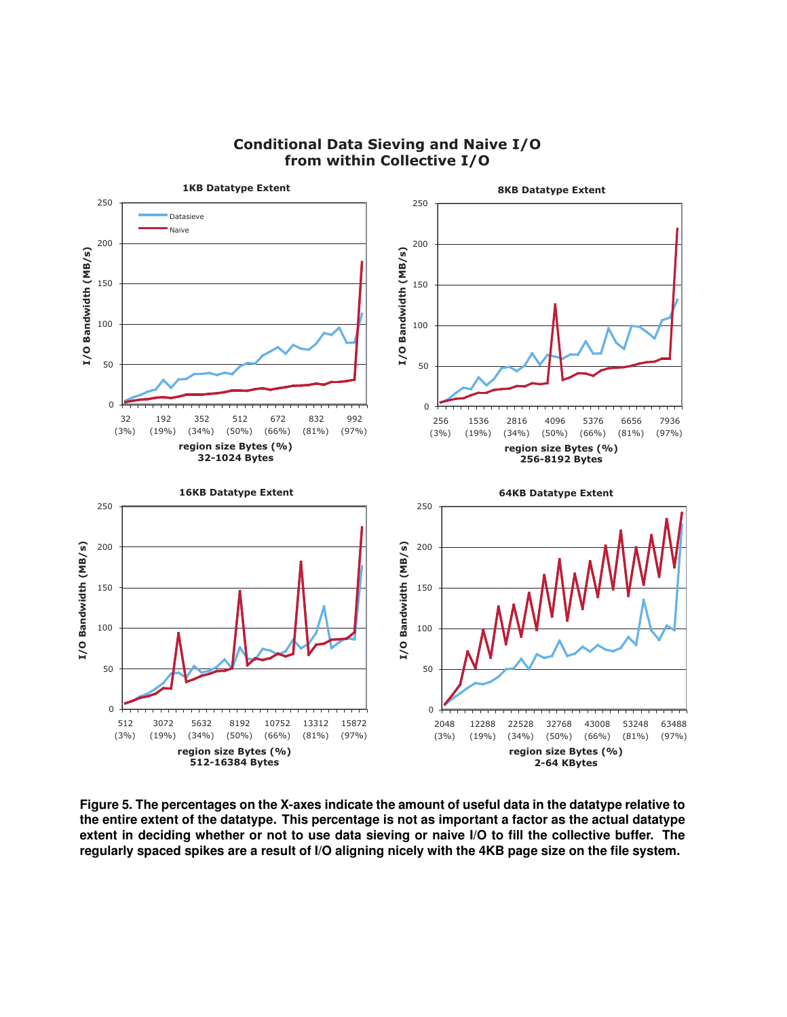

## **Conditional Data Sieving and Naive I/O from within Collective I/O**

**Figure 5. The percentages on the X-axes indicate the amount of useful data in the datatype relative to the entire extent of the datatype. This percentage is not as important a factor as the actual datatype extent in deciding whether or not to use data sieving or naive I/O to fill the collective buffer. The regularly spaced spikes are a result of I/O aligning nicely with the 4KB page size on the file system.**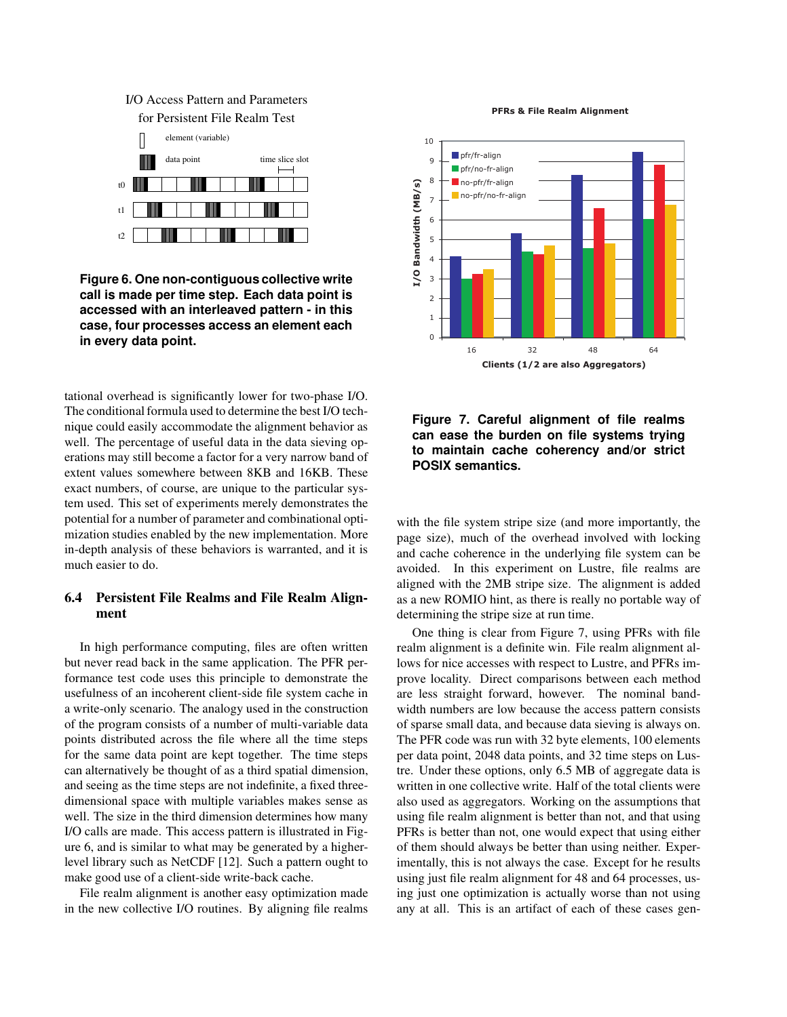## for Persistent File Realm Test I/O Access Pattern and Parameters



**Figure 6. One non-contiguous collective write call is made per time step. Each data point is accessed with an interleaved pattern - in this case, four processes access an element each in every data point.**

tational overhead is significantly lower for two-phase I/O. The conditional formula used to determine the best I/O technique could easily accommodate the alignment behavior as well. The percentage of useful data in the data sieving operations may still become a factor for a very narrow band of extent values somewhere between 8KB and 16KB. These exact numbers, of course, are unique to the particular system used. This set of experiments merely demonstrates the potential for a number of parameter and combinational optimization studies enabled by the new implementation. More in-depth analysis of these behaviors is warranted, and it is much easier to do.

## **6.4 Persistent File Realms and File Realm Alignment**

In high performance computing, files are often written but never read back in the same application. The PFR performance test code uses this principle to demonstrate the usefulness of an incoherent client-side file system cache in a write-only scenario. The analogy used in the construction of the program consists of a number of multi-variable data points distributed across the file where all the time steps for the same data point are kept together. The time steps can alternatively be thought of as a third spatial dimension, and seeing as the time steps are not indefinite, a fixed threedimensional space with multiple variables makes sense as well. The size in the third dimension determines how many I/O calls are made. This access pattern is illustrated in Figure 6, and is similar to what may be generated by a higherlevel library such as NetCDF [12]. Such a pattern ought to make good use of a client-side write-back cache.

File realm alignment is another easy optimization made in the new collective I/O routines. By aligning file realms

**PFRs & File Realm Alignment**



**Figure 7. Careful alignment of file realms can ease the burden on file systems trying to maintain cache coherency and/or strict POSIX semantics.**

with the file system stripe size (and more importantly, the page size), much of the overhead involved with locking and cache coherence in the underlying file system can be avoided. In this experiment on Lustre, file realms are aligned with the 2MB stripe size. The alignment is added as a new ROMIO hint, as there is really no portable way of determining the stripe size at run time.

One thing is clear from Figure 7, using PFRs with file realm alignment is a definite win. File realm alignment allows for nice accesses with respect to Lustre, and PFRs improve locality. Direct comparisons between each method are less straight forward, however. The nominal bandwidth numbers are low because the access pattern consists of sparse small data, and because data sieving is always on. The PFR code was run with 32 byte elements, 100 elements per data point, 2048 data points, and 32 time steps on Lustre. Under these options, only 6.5 MB of aggregate data is written in one collective write. Half of the total clients were also used as aggregators. Working on the assumptions that using file realm alignment is better than not, and that using PFRs is better than not, one would expect that using either of them should always be better than using neither. Experimentally, this is not always the case. Except for he results using just file realm alignment for 48 and 64 processes, using just one optimization is actually worse than not using any at all. This is an artifact of each of these cases gen-